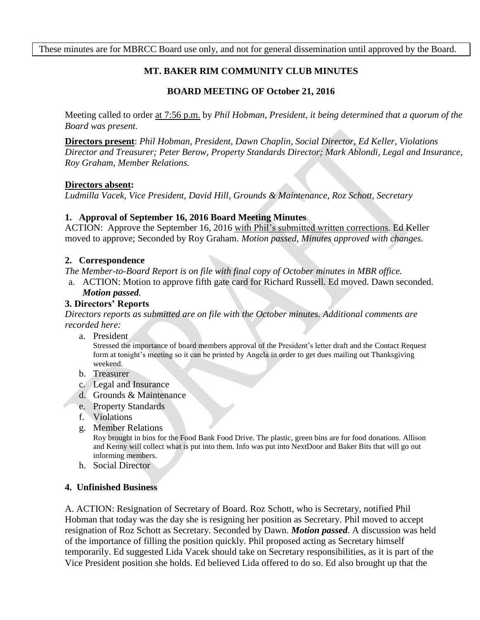These minutes are for MBRCC Board use only, and not for general dissemination until approved by the Board.

# **MT. BAKER RIM COMMUNITY CLUB MINUTES**

## **BOARD MEETING OF October 21, 2016**

Meeting called to order at 7:56 p.m. by *Phil Hobman, President, it being determined that a quorum of the Board was present.* 

**Directors present**: *Phil Hobman, President, Dawn Chaplin, Social Director, Ed Keller, Violations Director and Treasurer; Peter Berow, Property Standards Director; Mark Ablondi, Legal and Insurance, Roy Graham, Member Relations.*

#### **Directors absent:**

*Ludmilla Vacek, Vice President, David Hill, Grounds & Maintenance, Roz Schott, Secretary*

### **1. Approval of September 16, 2016 Board Meeting Minutes**

ACTION: Approve the September 16, 2016 with Phil's submitted written corrections. Ed Keller moved to approve; Seconded by Roy Graham. *Motion passed, Minutes approved with changes.*

#### **2. Correspondence**

*The Member-to-Board Report is on file with final copy of October minutes in MBR office.*

a. ACTION: Motion to approve fifth gate card for Richard Russell. Ed moved. Dawn seconded. *Motion passed.*

## **3. Directors' Reports**

*Directors reports as submitted are on file with the October minutes. Additional comments are recorded here:*

a. President

Stressed the importance of board members approval of the President's letter draft and the Contact Request form at tonight's meeting so it can be printed by Angela in order to get dues mailing out Thanksgiving weekend.

- b. Treasurer
- c. Legal and Insurance
- d. Grounds & Maintenance
- e. Property Standards
- f. Violations
- g. Member Relations

Roy brought in bins for the Food Bank Food Drive. The plastic, green bins are for food donations. Allison and Kenny will collect what is put into them. Info was put into NextDoor and Baker Bits that will go out informing members.

h. Social Director

### **4. Unfinished Business**

A. ACTION: Resignation of Secretary of Board. Roz Schott, who is Secretary, notified Phil Hobman that today was the day she is resigning her position as Secretary. Phil moved to accept resignation of Roz Schott as Secretary. Seconded by Dawn. *Motion passed*. A discussion was held of the importance of filling the position quickly. Phil proposed acting as Secretary himself temporarily. Ed suggested Lida Vacek should take on Secretary responsibilities, as it is part of the Vice President position she holds. Ed believed Lida offered to do so. Ed also brought up that the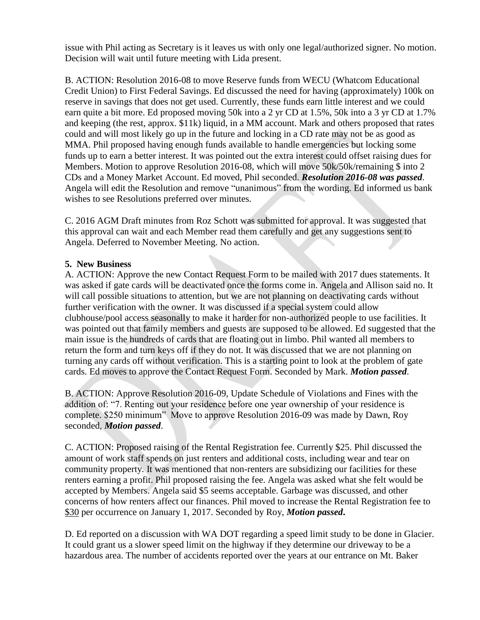issue with Phil acting as Secretary is it leaves us with only one legal/authorized signer. No motion. Decision will wait until future meeting with Lida present.

B. ACTION: Resolution 2016-08 to move Reserve funds from WECU (Whatcom Educational Credit Union) to First Federal Savings. Ed discussed the need for having (approximately) 100k on reserve in savings that does not get used. Currently, these funds earn little interest and we could earn quite a bit more. Ed proposed moving 50k into a 2 yr CD at 1.5%, 50k into a 3 yr CD at 1.7% and keeping (the rest, approx. \$11k) liquid, in a MM account. Mark and others proposed that rates could and will most likely go up in the future and locking in a CD rate may not be as good as MMA. Phil proposed having enough funds available to handle emergencies but locking some funds up to earn a better interest. It was pointed out the extra interest could offset raising dues for Members. Motion to approve Resolution 2016-08, which will move 50k/50k/remaining \$ into 2 CDs and a Money Market Account. Ed moved, Phil seconded. *Resolution 2016-08 was passed*. Angela will edit the Resolution and remove "unanimous" from the wording. Ed informed us bank wishes to see Resolutions preferred over minutes.

C. 2016 AGM Draft minutes from Roz Schott was submitted for approval. It was suggested that this approval can wait and each Member read them carefully and get any suggestions sent to Angela. Deferred to November Meeting. No action.

## **5. New Business**

A. ACTION: Approve the new Contact Request Form to be mailed with 2017 dues statements. It was asked if gate cards will be deactivated once the forms come in. Angela and Allison said no. It will call possible situations to attention, but we are not planning on deactivating cards without further verification with the owner. It was discussed if a special system could allow clubhouse/pool access seasonally to make it harder for non-authorized people to use facilities. It was pointed out that family members and guests are supposed to be allowed. Ed suggested that the main issue is the hundreds of cards that are floating out in limbo. Phil wanted all members to return the form and turn keys off if they do not. It was discussed that we are not planning on turning any cards off without verification. This is a starting point to look at the problem of gate cards. Ed moves to approve the Contact Request Form. Seconded by Mark. *Motion passed*.

B. ACTION: Approve Resolution 2016-09, Update Schedule of Violations and Fines with the addition of: "7. Renting out your residence before one year ownership of your residence is complete. \$250 minimum" Move to approve Resolution 2016-09 was made by Dawn, Roy seconded, *Motion passed*.

C. ACTION: Proposed raising of the Rental Registration fee. Currently \$25. Phil discussed the amount of work staff spends on just renters and additional costs, including wear and tear on community property. It was mentioned that non-renters are subsidizing our facilities for these renters earning a profit. Phil proposed raising the fee. Angela was asked what she felt would be accepted by Members. Angela said \$5 seems acceptable. Garbage was discussed, and other concerns of how renters affect our finances. Phil moved to increase the Rental Registration fee to \$30 per occurrence on January 1, 2017. Seconded by Roy, *Motion passed***.**

D. Ed reported on a discussion with WA DOT regarding a speed limit study to be done in Glacier. It could grant us a slower speed limit on the highway if they determine our driveway to be a hazardous area. The number of accidents reported over the years at our entrance on Mt. Baker